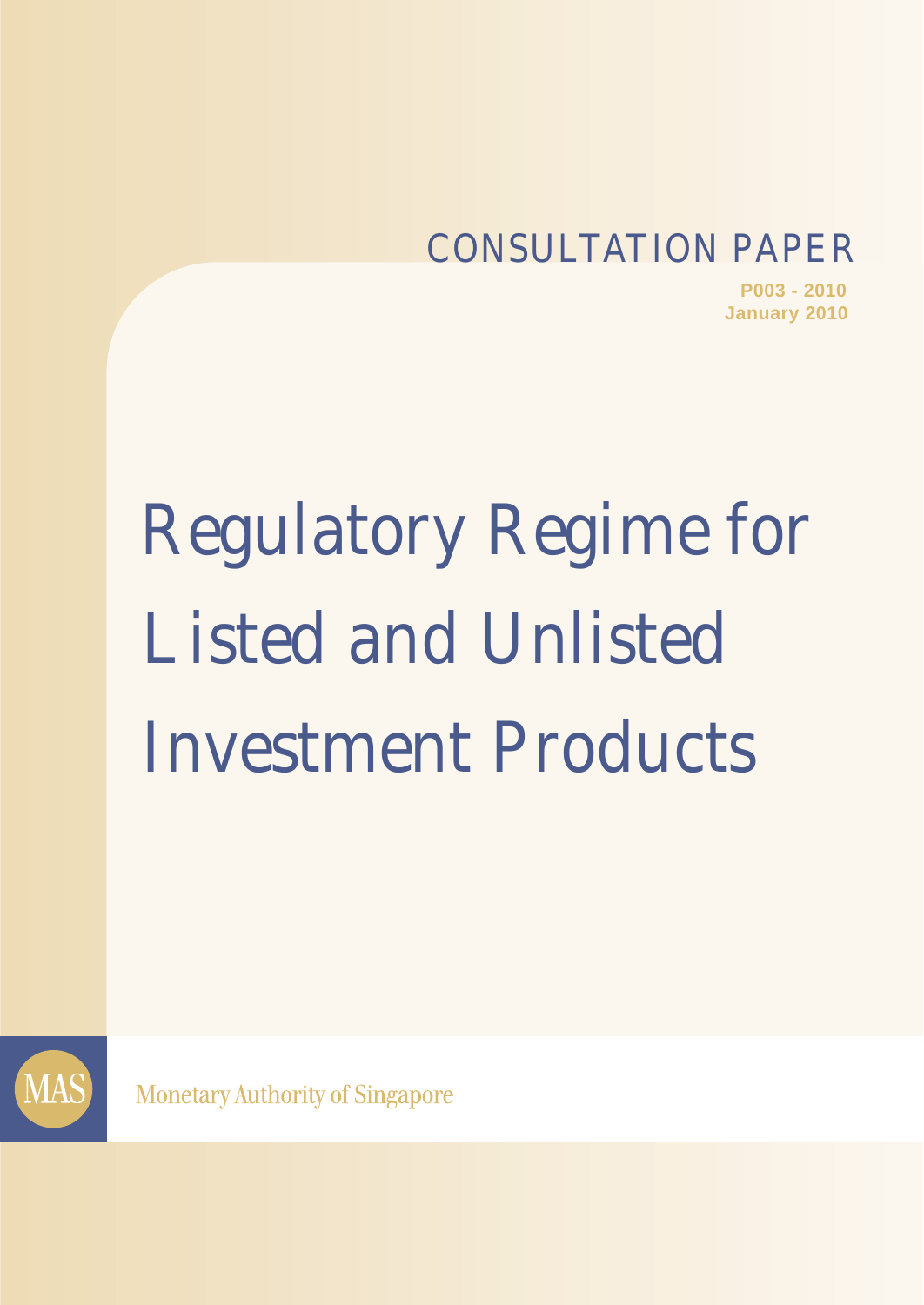## CONSULTATION PAPER

**P003 - 2010 January 2010**

# Regulatory Regime for Listed and Unlisted Investment Products



**Monetary Authority of Singapore**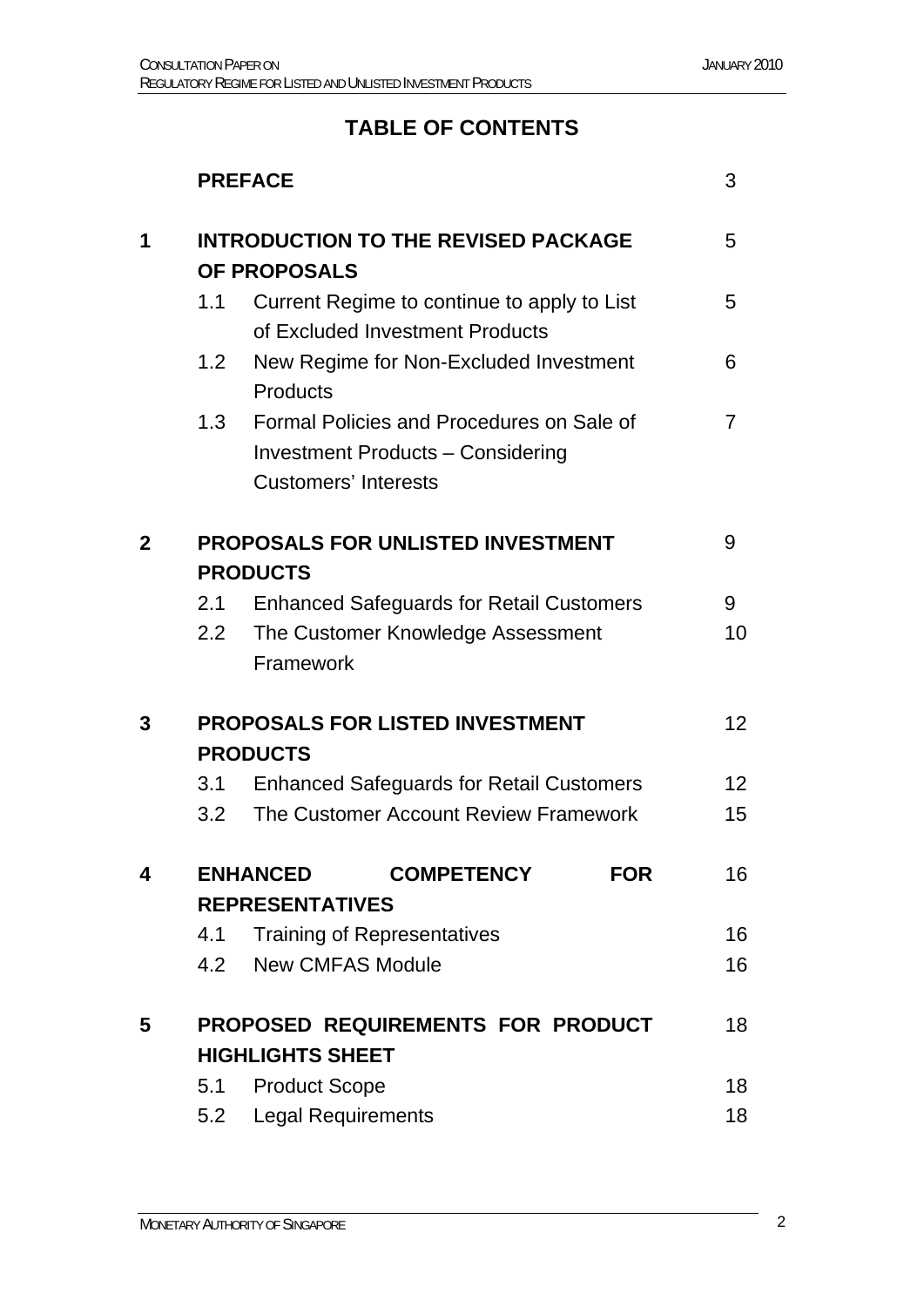## **TABLE OF CONTENTS**

|              |                                                                   | <b>PREFACE</b>                                                                 |                                                                                       |            |                 |
|--------------|-------------------------------------------------------------------|--------------------------------------------------------------------------------|---------------------------------------------------------------------------------------|------------|-----------------|
| 1            | <b>INTRODUCTION TO THE REVISED PACKAGE</b><br><b>OF PROPOSALS</b> |                                                                                |                                                                                       | 5          |                 |
|              | 1.1                                                               | Current Regime to continue to apply to List<br>of Excluded Investment Products |                                                                                       | 5          |                 |
|              | 1.2                                                               | Products                                                                       | New Regime for Non-Excluded Investment                                                |            | 6               |
|              | 1.3                                                               | <b>Customers' Interests</b>                                                    | Formal Policies and Procedures on Sale of<br><b>Investment Products - Considering</b> |            | 7               |
| $\mathbf{2}$ | <b>PROPOSALS FOR UNLISTED INVESTMENT</b>                          |                                                                                |                                                                                       |            | 9               |
|              | <b>PRODUCTS</b>                                                   |                                                                                |                                                                                       |            |                 |
|              | 2.1                                                               | <b>Enhanced Safeguards for Retail Customers</b>                                |                                                                                       |            | 9               |
|              | 2.2                                                               | The Customer Knowledge Assessment<br>Framework                                 |                                                                                       |            | 10              |
| 3            | <b>PROPOSALS FOR LISTED INVESTMENT</b>                            |                                                                                |                                                                                       |            | 12 <sup>2</sup> |
|              |                                                                   | <b>PRODUCTS</b>                                                                |                                                                                       |            |                 |
|              | 3.1                                                               | <b>Enhanced Safeguards for Retail Customers</b>                                |                                                                                       | 12         |                 |
|              | 3.2                                                               | The Customer Account Review Framework                                          |                                                                                       | 15         |                 |
| 4            |                                                                   | <b>ENHANCED</b>                                                                | <b>COMPETENCY</b>                                                                     | <b>FOR</b> | 16              |
|              | <b>REPRESENTATIVES</b>                                            |                                                                                |                                                                                       |            |                 |
|              | 4.1                                                               | <b>Training of Representatives</b>                                             |                                                                                       |            | 16              |
|              | 4.2                                                               | <b>New CMFAS Module</b>                                                        |                                                                                       |            | 16              |
| 5            | PROPOSED REQUIREMENTS FOR PRODUCT                                 |                                                                                |                                                                                       |            | 18              |
|              | <b>HIGHLIGHTS SHEET</b>                                           |                                                                                |                                                                                       |            |                 |
|              | 5.1                                                               | <b>Product Scope</b>                                                           |                                                                                       |            | 18              |
|              | 5.2                                                               | <b>Legal Requirements</b>                                                      |                                                                                       |            | 18              |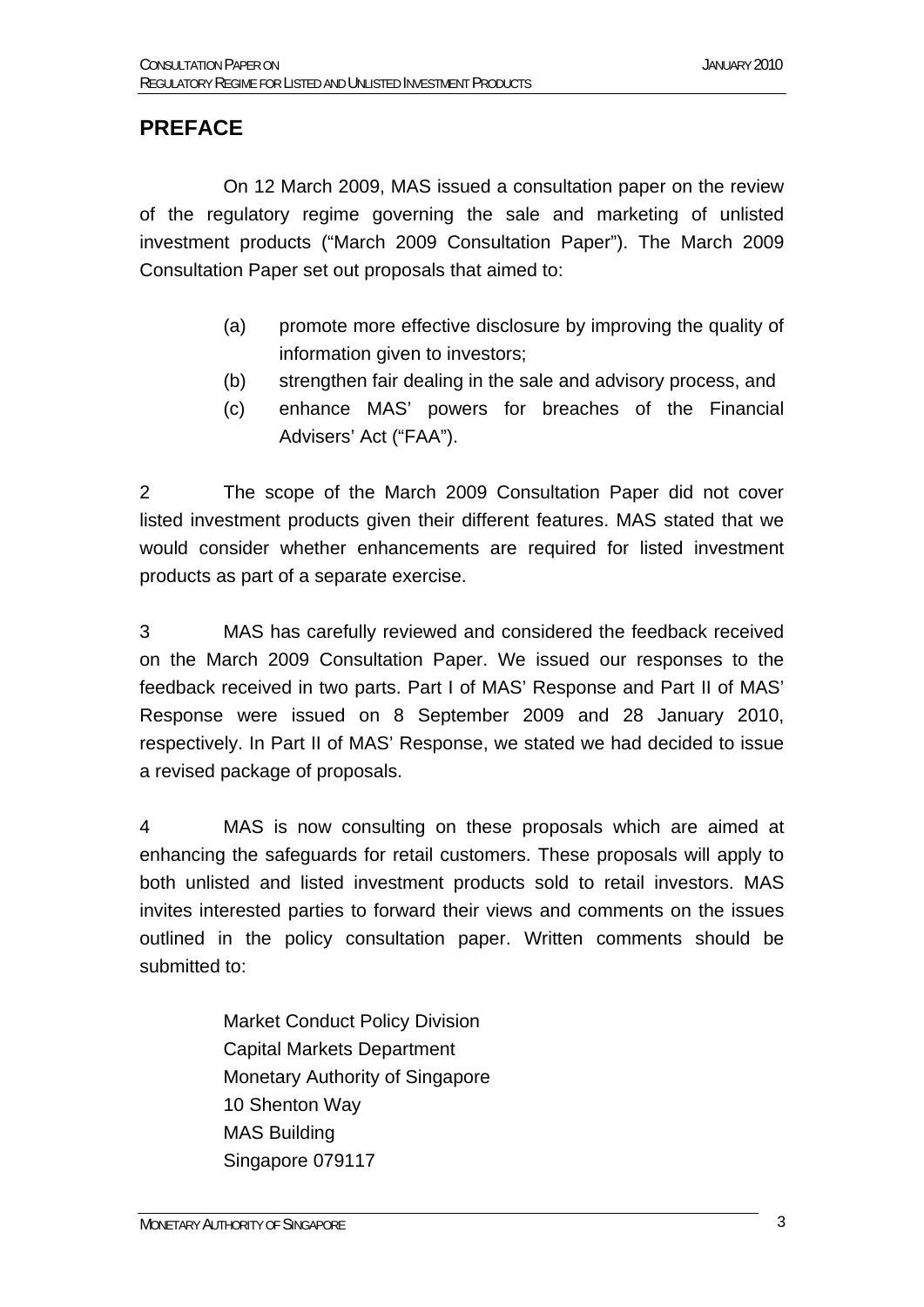#### **PREFACE**

 On 12 March 2009, MAS issued a consultation paper on the review of the regulatory regime governing the sale and marketing of unlisted investment products ("March 2009 Consultation Paper"). The March 2009 Consultation Paper set out proposals that aimed to:

- (a) promote more effective disclosure by improving the quality of information given to investors;
- (b) strengthen fair dealing in the sale and advisory process, and
- (c) enhance MAS' powers for breaches of the Financial Advisers' Act ("FAA").

2 The scope of the March 2009 Consultation Paper did not cover listed investment products given their different features. MAS stated that we would consider whether enhancements are required for listed investment products as part of a separate exercise.

3 MAS has carefully reviewed and considered the feedback received on the March 2009 Consultation Paper. We issued our responses to the feedback received in two parts. Part I of MAS' Response and Part II of MAS' Response were issued on 8 September 2009 and 28 January 2010, respectively. In Part II of MAS' Response, we stated we had decided to issue a revised package of proposals.

4 MAS is now consulting on these proposals which are aimed at enhancing the safeguards for retail customers. These proposals will apply to both unlisted and listed investment products sold to retail investors. MAS invites interested parties to forward their views and comments on the issues outlined in the policy consultation paper. Written comments should be submitted to:

> Market Conduct Policy Division Capital Markets Department Monetary Authority of Singapore 10 Shenton Way MAS Building Singapore 079117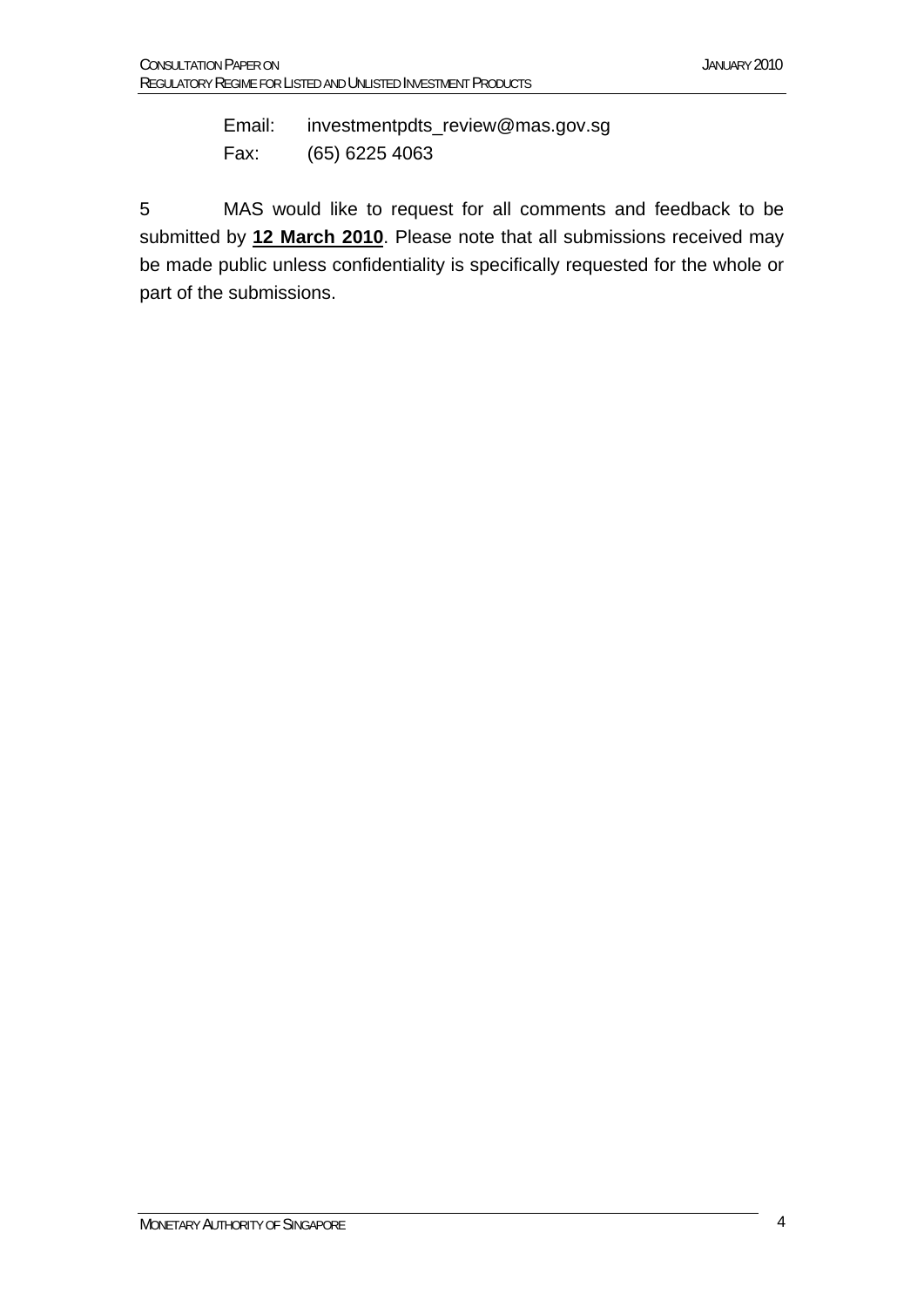Email: investmentpdts\_review@mas.gov.sg Fax: (65) 6225 4063

5 MAS would like to request for all comments and feedback to be submitted by **12 March 2010**. Please note that all submissions received may be made public unless confidentiality is specifically requested for the whole or part of the submissions.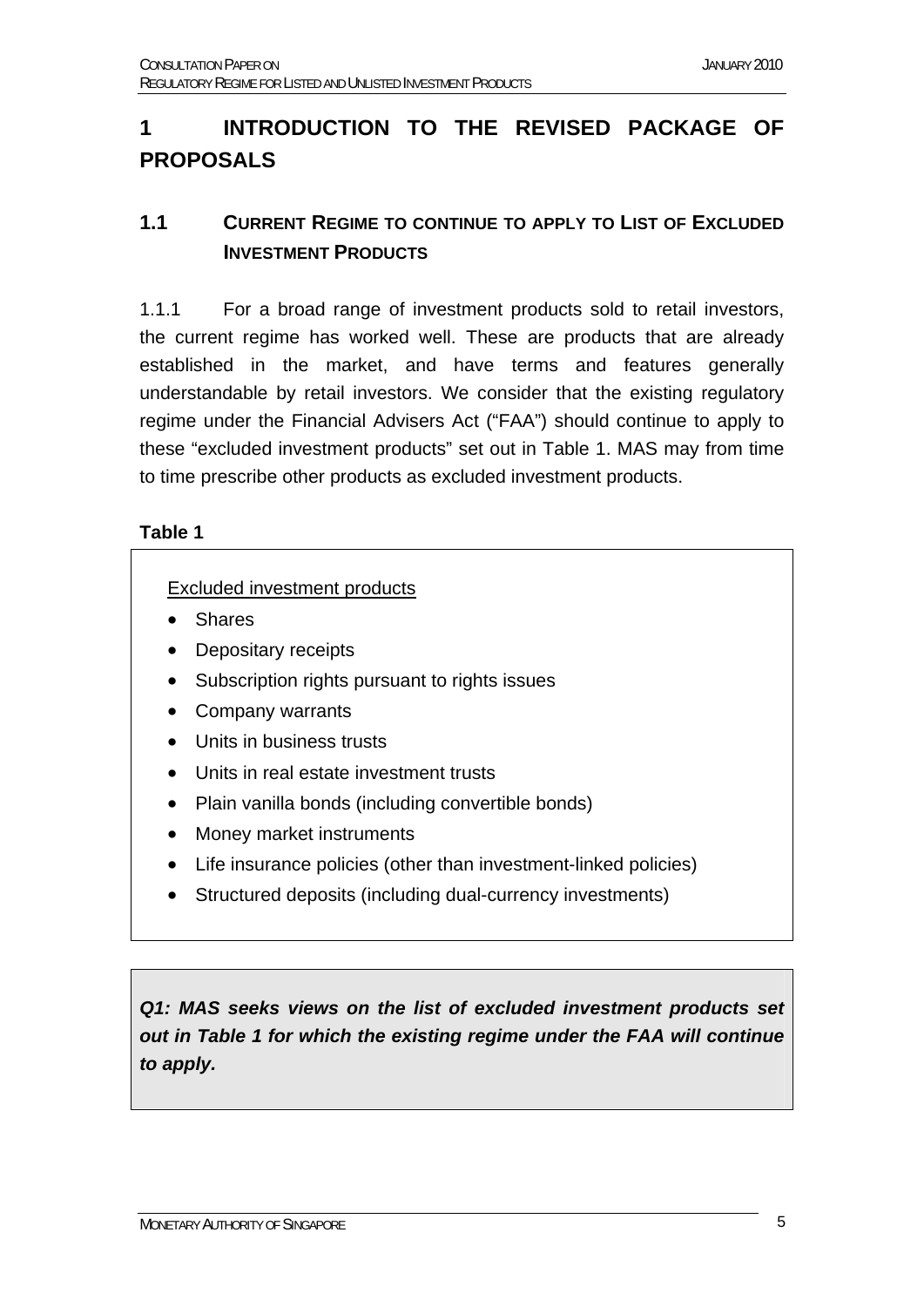## **1 INTRODUCTION TO THE REVISED PACKAGE OF PROPOSALS**

#### **1.1 CURRENT REGIME TO CONTINUE TO APPLY TO LIST OF EXCLUDED INVESTMENT PRODUCTS**

1.1.1 For a broad range of investment products sold to retail investors, the current regime has worked well. These are products that are already established in the market, and have terms and features generally understandable by retail investors. We consider that the existing regulatory regime under the Financial Advisers Act ("FAA") should continue to apply to these "excluded investment products" set out in Table 1. MAS may from time to time prescribe other products as excluded investment products.

#### **Table 1**

#### Excluded investment products

- Shares
- Depositary receipts
- Subscription rights pursuant to rights issues
- Company warrants
- Units in business trusts
- Units in real estate investment trusts
- Plain vanilla bonds (including convertible bonds)
- Money market instruments
- Life insurance policies (other than investment-linked policies)
- Structured deposits (including dual-currency investments)

*Q1: MAS seeks views on the list of excluded investment products set out in Table 1 for which the existing regime under the FAA will continue to apply.*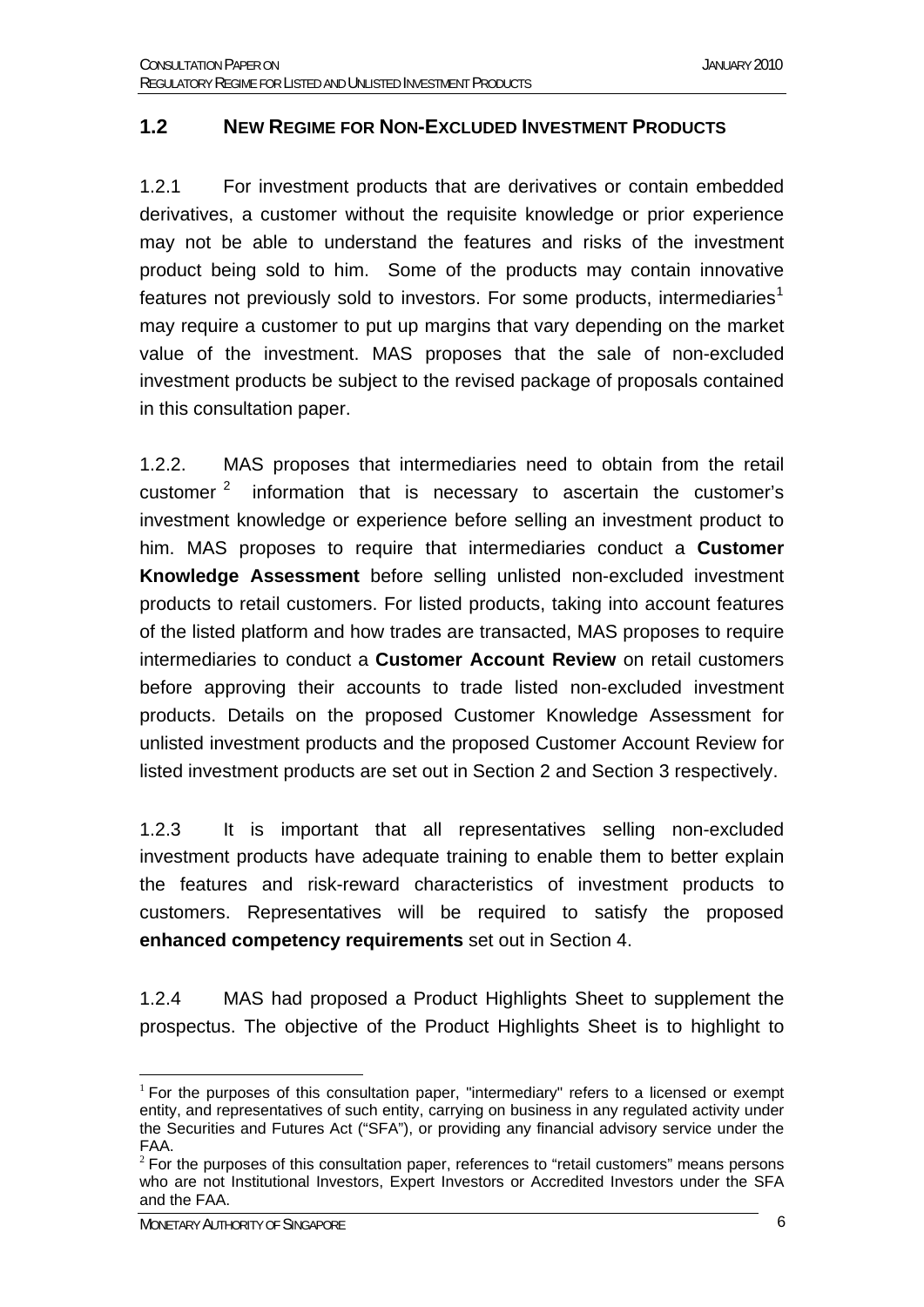#### **1.2 NEW REGIME FOR NON-EXCLUDED INVESTMENT PRODUCTS**

1.2.1 For investment products that are derivatives or contain embedded derivatives, a customer without the requisite knowledge or prior experience may not be able to understand the features and risks of the investment product being sold to him. Some of the products may contain innovative features not previously sold to investors. For some products, intermediaries<sup>[1](#page-5-0)</sup> may require a customer to put up margins that vary depending on the market value of the investment. MAS proposes that the sale of non-excluded investment products be subject to the revised package of proposals contained in this consultation paper.

1.2.2. MAS proposes that intermediaries need to obtain from the retail customer  $2$  information that is necessary to ascertain the customer's investment knowledge or experience before selling an investment product to him. MAS proposes to require that intermediaries conduct a **Customer Knowledge Assessment** before selling unlisted non-excluded investment products to retail customers. For listed products, taking into account features of the listed platform and how trades are transacted, MAS proposes to require intermediaries to conduct a **Customer Account Review** on retail customers before approving their accounts to trade listed non-excluded investment products. Details on the proposed Customer Knowledge Assessment for unlisted investment products and the proposed Customer Account Review for listed investment products are set out in Section 2 and Section 3 respectively.

1.2.3 It is important that all representatives selling non-excluded investment products have adequate training to enable them to better explain the features and risk-reward characteristics of investment products to customers. Representatives will be required to satisfy the proposed **enhanced competency requirements** set out in Section 4.

1.2.4 MAS had proposed a Product Highlights Sheet to supplement the prospectus. The objective of the Product Highlights Sheet is to highlight to

<span id="page-5-0"></span><sup>&</sup>lt;u>.</u>  $1$  For the purposes of this consultation paper, "intermediary" refers to a licensed or exempt entity, and representatives of such entity, carrying on business in any regulated activity under the Securities and Futures Act ("SFA"), or providing any financial advisory service under the FAA.

<span id="page-5-1"></span> $2$  For the purposes of this consultation paper, references to "retail customers" means persons who are not Institutional Investors, Expert Investors or Accredited Investors under the SFA and the FAA.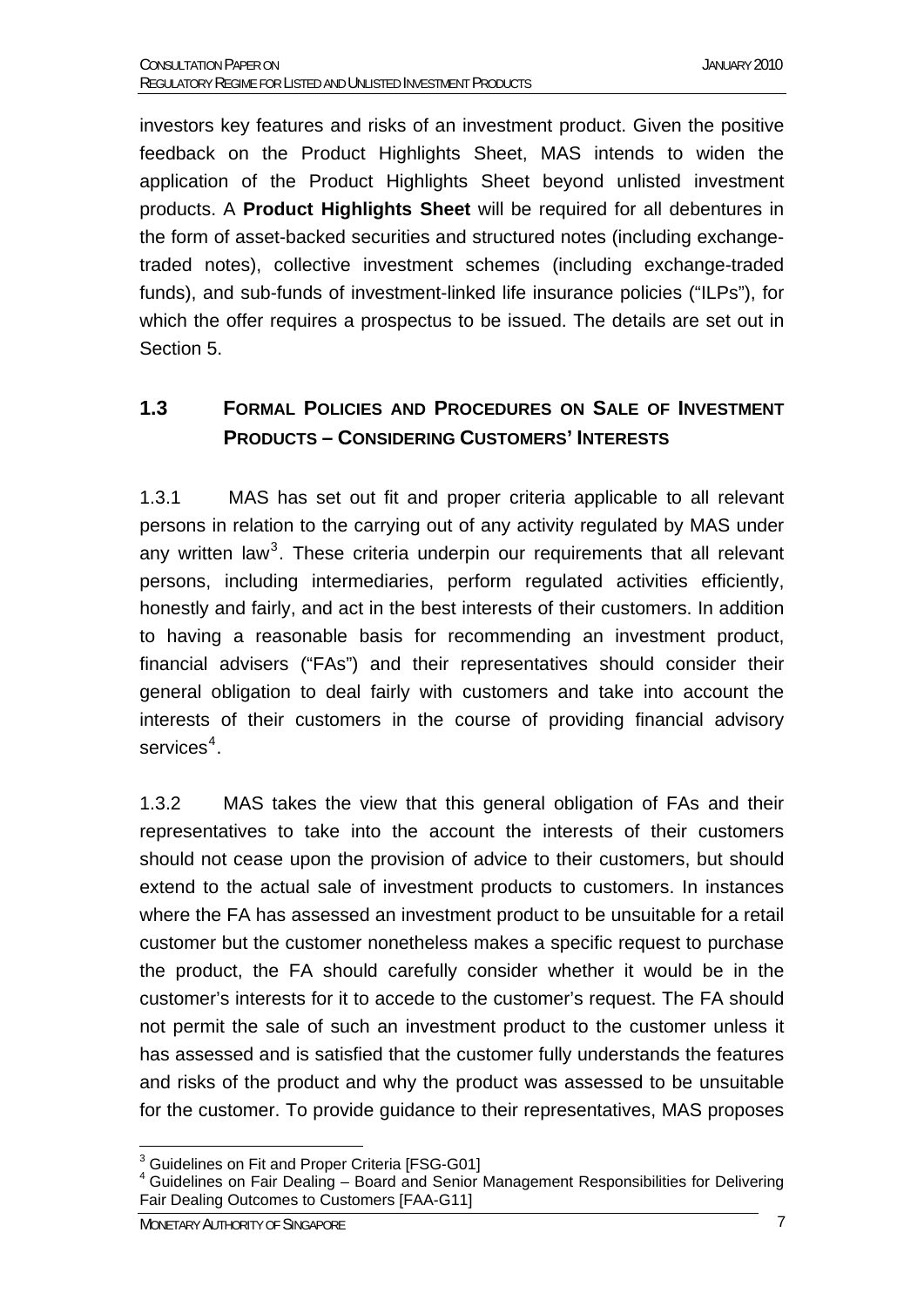investors key features and risks of an investment product. Given the positive feedback on the Product Highlights Sheet, MAS intends to widen the application of the Product Highlights Sheet beyond unlisted investment products. A **Product Highlights Sheet** will be required for all debentures in the form of asset-backed securities and structured notes (including exchangetraded notes), collective investment schemes (including exchange-traded funds), and sub-funds of investment-linked life insurance policies ("ILPs"), for which the offer requires a prospectus to be issued. The details are set out in Section 5.

#### **1.3 FORMAL POLICIES AND PROCEDURES ON SALE OF INVESTMENT PRODUCTS – CONSIDERING CUSTOMERS' INTERESTS**

1.3.1 MAS has set out fit and proper criteria applicable to all relevant persons in relation to the carrying out of any activity regulated by MAS under any written law<sup>[3](#page-6-0)</sup>. These criteria underpin our requirements that all relevant persons, including intermediaries, perform regulated activities efficiently, honestly and fairly, and act in the best interests of their customers. In addition to having a reasonable basis for recommending an investment product, financial advisers ("FAs") and their representatives should consider their general obligation to deal fairly with customers and take into account the interests of their customers in the course of providing financial advisory services<sup>[4](#page-6-1)</sup>.

1.3.2 MAS takes the view that this general obligation of FAs and their representatives to take into the account the interests of their customers should not cease upon the provision of advice to their customers, but should extend to the actual sale of investment products to customers. In instances where the FA has assessed an investment product to be unsuitable for a retail customer but the customer nonetheless makes a specific request to purchase the product, the FA should carefully consider whether it would be in the customer's interests for it to accede to the customer's request. The FA should not permit the sale of such an investment product to the customer unless it has assessed and is satisfied that the customer fully understands the features and risks of the product and why the product was assessed to be unsuitable for the customer. To provide guidance to their representatives, MAS proposes

 3 Guidelines on Fit and Proper Criteria [FSG-G01]

<span id="page-6-1"></span><span id="page-6-0"></span><sup>&</sup>lt;sup>4</sup> Guidelines on Fair Dealing - Board and Senior Management Responsibilities for Delivering Fair Dealing Outcomes to Customers [FAA-G11]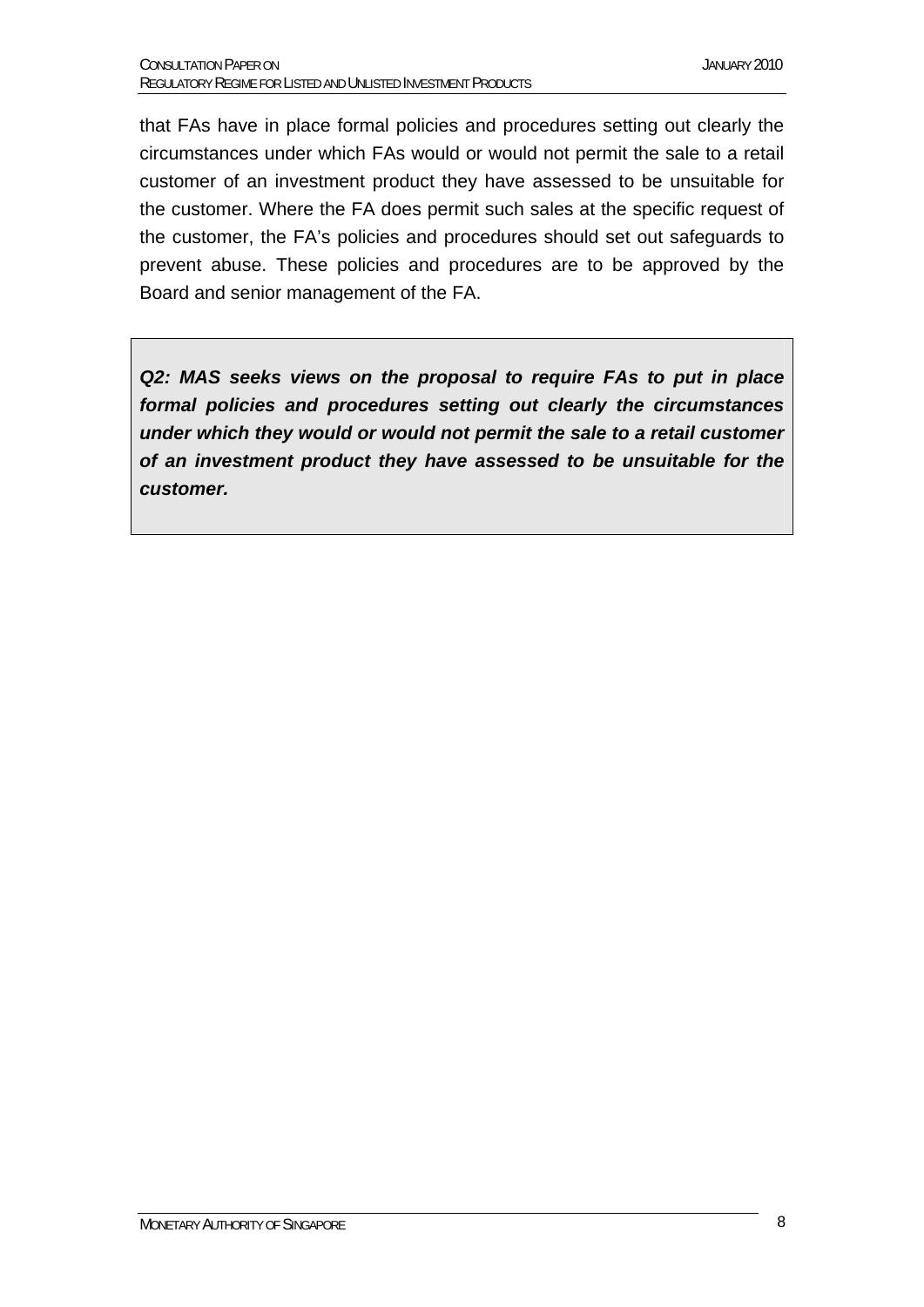that FAs have in place formal policies and procedures setting out clearly the circumstances under which FAs would or would not permit the sale to a retail customer of an investment product they have assessed to be unsuitable for the customer. Where the FA does permit such sales at the specific request of the customer, the FA's policies and procedures should set out safeguards to prevent abuse. These policies and procedures are to be approved by the Board and senior management of the FA.

*Q2: MAS seeks views on the proposal to require FAs to put in place formal policies and procedures setting out clearly the circumstances under which they would or would not permit the sale to a retail customer of an investment product they have assessed to be unsuitable for the customer.*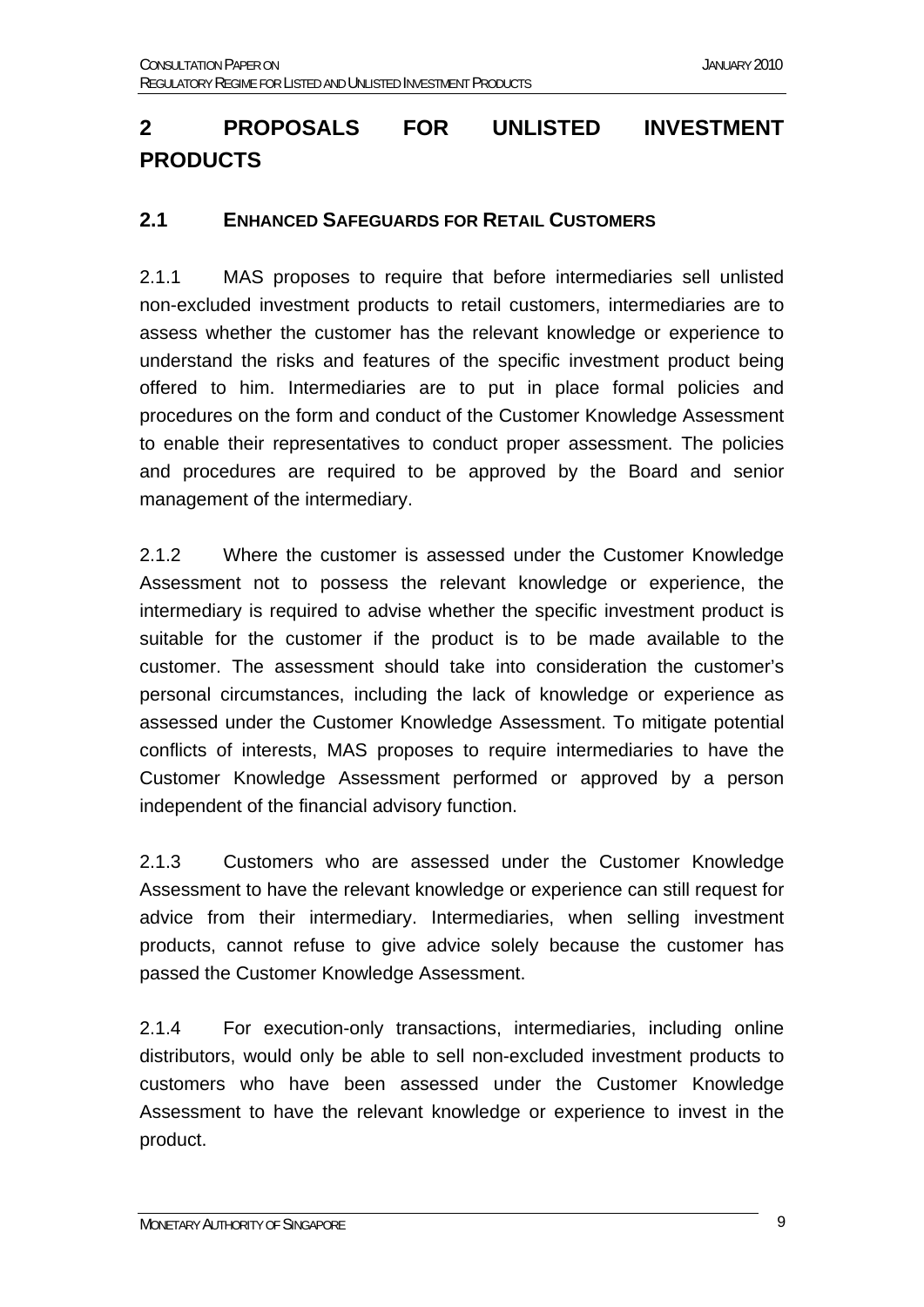## **2 PROPOSALS FOR UNLISTED INVESTMENT PRODUCTS**

#### **2.1 ENHANCED SAFEGUARDS FOR RETAIL CUSTOMERS**

2.1.1 MAS proposes to require that before intermediaries sell unlisted non-excluded investment products to retail customers, intermediaries are to assess whether the customer has the relevant knowledge or experience to understand the risks and features of the specific investment product being offered to him. Intermediaries are to put in place formal policies and procedures on the form and conduct of the Customer Knowledge Assessment to enable their representatives to conduct proper assessment. The policies and procedures are required to be approved by the Board and senior management of the intermediary.

2.1.2 Where the customer is assessed under the Customer Knowledge Assessment not to possess the relevant knowledge or experience, the intermediary is required to advise whether the specific investment product is suitable for the customer if the product is to be made available to the customer. The assessment should take into consideration the customer's personal circumstances, including the lack of knowledge or experience as assessed under the Customer Knowledge Assessment. To mitigate potential conflicts of interests, MAS proposes to require intermediaries to have the Customer Knowledge Assessment performed or approved by a person independent of the financial advisory function.

2.1.3 Customers who are assessed under the Customer Knowledge Assessment to have the relevant knowledge or experience can still request for advice from their intermediary. Intermediaries, when selling investment products, cannot refuse to give advice solely because the customer has passed the Customer Knowledge Assessment.

2.1.4 For execution-only transactions, intermediaries, including online distributors, would only be able to sell non-excluded investment products to customers who have been assessed under the Customer Knowledge Assessment to have the relevant knowledge or experience to invest in the product.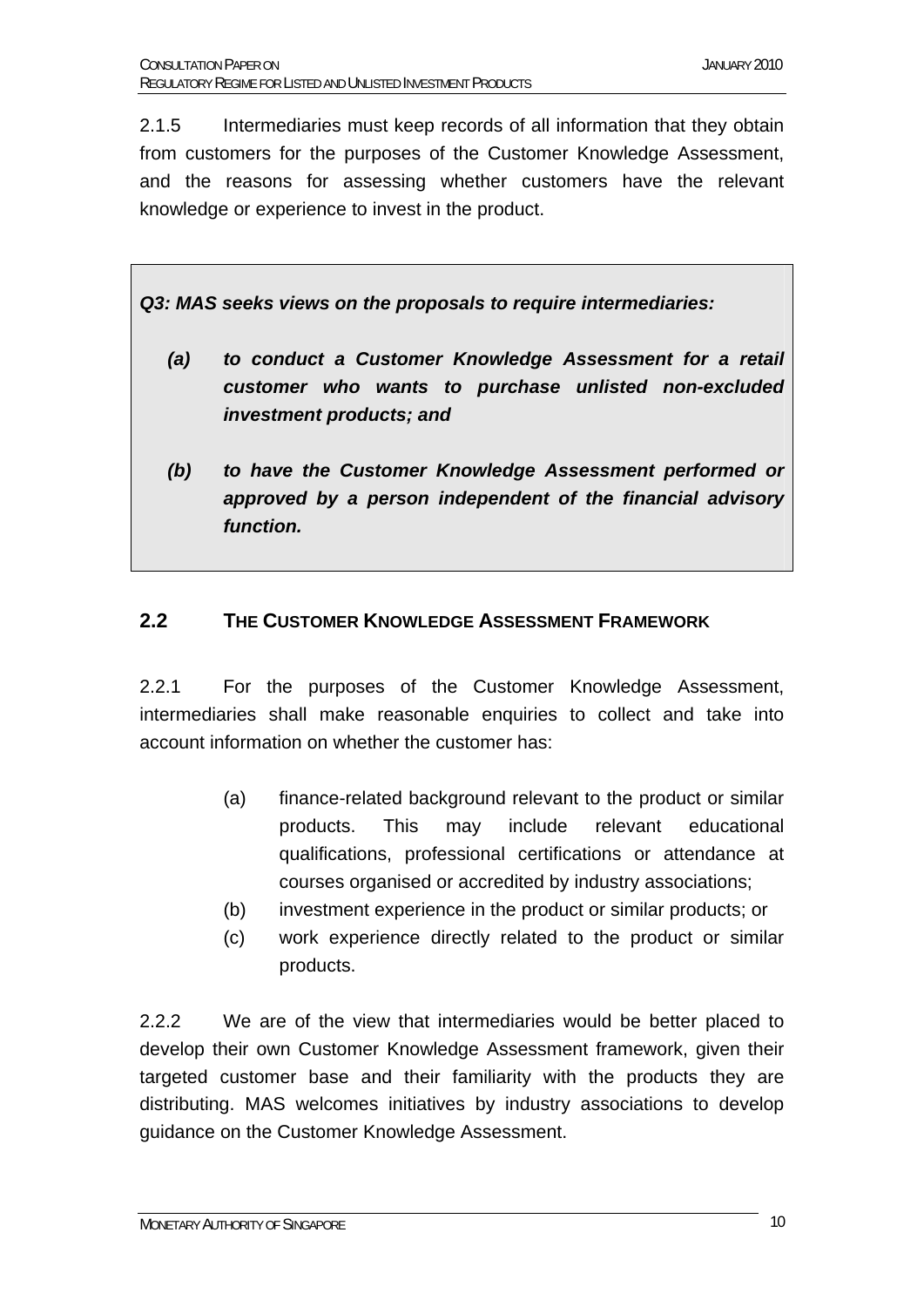2.1.5 Intermediaries must keep records of all information that they obtain from customers for the purposes of the Customer Knowledge Assessment, and the reasons for assessing whether customers have the relevant knowledge or experience to invest in the product.

*Q3: MAS seeks views on the proposals to require intermediaries:* 

- *(a) to conduct a Customer Knowledge Assessment for a retail customer who wants to purchase unlisted non-excluded investment products; and*
- *(b) to have the Customer Knowledge Assessment performed or approved by a person independent of the financial advisory function.*

#### **2.2 THE CUSTOMER KNOWLEDGE ASSESSMENT FRAMEWORK**

2.2.1 For the purposes of the Customer Knowledge Assessment, intermediaries shall make reasonable enquiries to collect and take into account information on whether the customer has:

- (a) finance-related background relevant to the product or similar products. This may include relevant educational qualifications, professional certifications or attendance at courses organised or accredited by industry associations;
- (b) investment experience in the product or similar products; or
- (c) work experience directly related to the product or similar products.

2.2.2 We are of the view that intermediaries would be better placed to develop their own Customer Knowledge Assessment framework, given their targeted customer base and their familiarity with the products they are distributing. MAS welcomes initiatives by industry associations to develop guidance on the Customer Knowledge Assessment.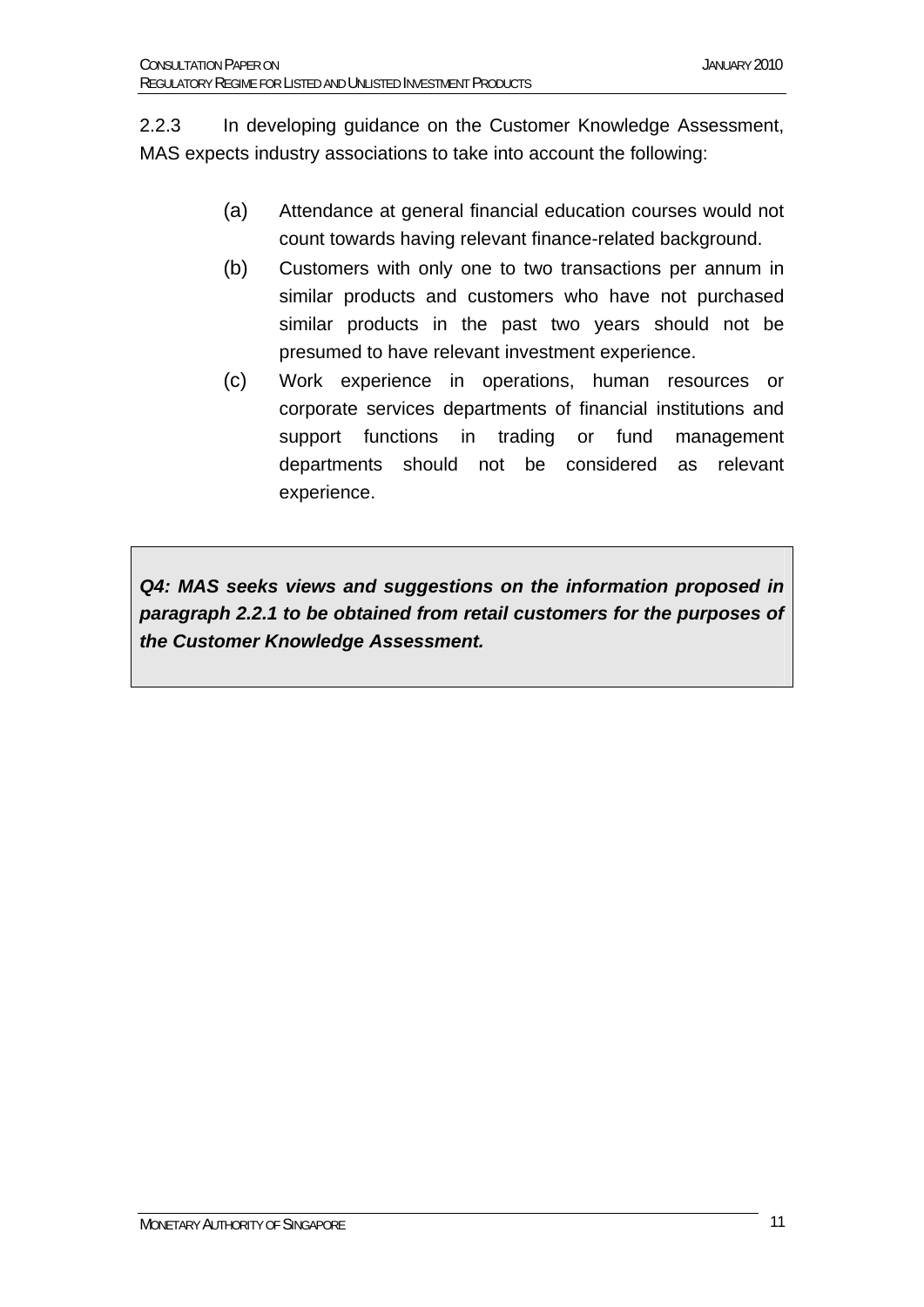2.2.3 In developing guidance on the Customer Knowledge Assessment, MAS expects industry associations to take into account the following:

- (a) Attendance at general financial education courses would not count towards having relevant finance-related background.
- (b) Customers with only one to two transactions per annum in similar products and customers who have not purchased similar products in the past two years should not be presumed to have relevant investment experience.
- (c) Work experience in operations, human resources or corporate services departments of financial institutions and support functions in trading or fund management departments should not be considered as relevant experience.

*Q4: MAS seeks views and suggestions on the information proposed in paragraph 2.2.1 to be obtained from retail customers for the purposes of the Customer Knowledge Assessment.*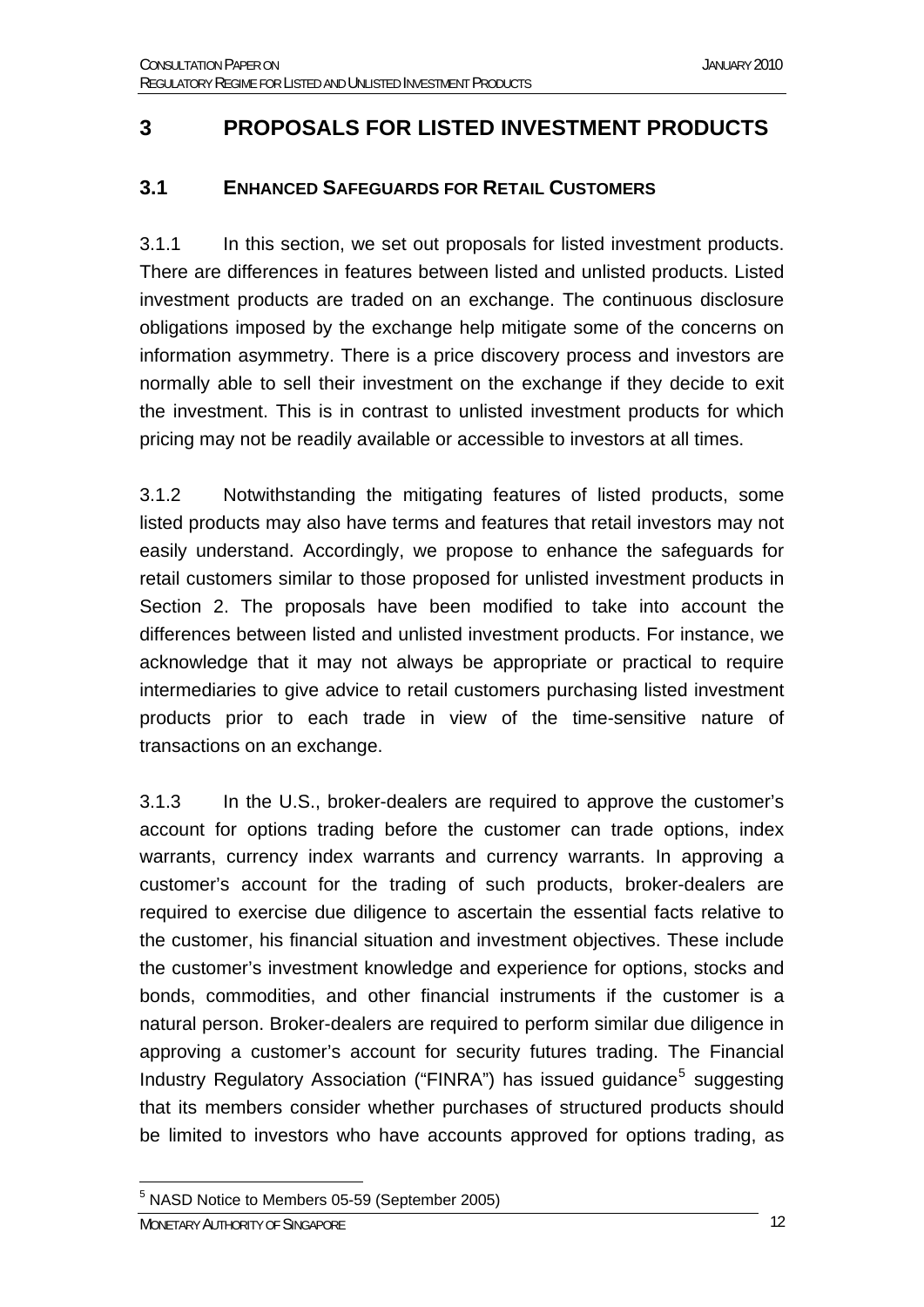### **3 PROPOSALS FOR LISTED INVESTMENT PRODUCTS**

#### **3.1 ENHANCED SAFEGUARDS FOR RETAIL CUSTOMERS**

3.1.1 In this section, we set out proposals for listed investment products. There are differences in features between listed and unlisted products. Listed investment products are traded on an exchange. The continuous disclosure obligations imposed by the exchange help mitigate some of the concerns on information asymmetry. There is a price discovery process and investors are normally able to sell their investment on the exchange if they decide to exit the investment. This is in contrast to unlisted investment products for which pricing may not be readily available or accessible to investors at all times.

3.1.2 Notwithstanding the mitigating features of listed products, some listed products may also have terms and features that retail investors may not easily understand. Accordingly, we propose to enhance the safeguards for retail customers similar to those proposed for unlisted investment products in Section 2. The proposals have been modified to take into account the differences between listed and unlisted investment products. For instance, we acknowledge that it may not always be appropriate or practical to require intermediaries to give advice to retail customers purchasing listed investment products prior to each trade in view of the time-sensitive nature of transactions on an exchange.

3.1.3 In the U.S., broker-dealers are required to approve the customer's account for options trading before the customer can trade options, index warrants, currency index warrants and currency warrants. In approving a customer's account for the trading of such products, broker-dealers are required to exercise due diligence to ascertain the essential facts relative to the customer, his financial situation and investment objectives. These include the customer's investment knowledge and experience for options, stocks and bonds, commodities, and other financial instruments if the customer is a natural person. Broker-dealers are required to perform similar due diligence in approving a customer's account for security futures trading. The Financial Industry Regulatory Association ("FINRA") has issued guidance<sup>[5](#page-11-0)</sup> suggesting that its members consider whether purchases of structured products should be limited to investors who have accounts approved for options trading, as

<span id="page-11-0"></span><sup>1</sup> <sup>5</sup> NASD Notice to Members 05-59 (September 2005)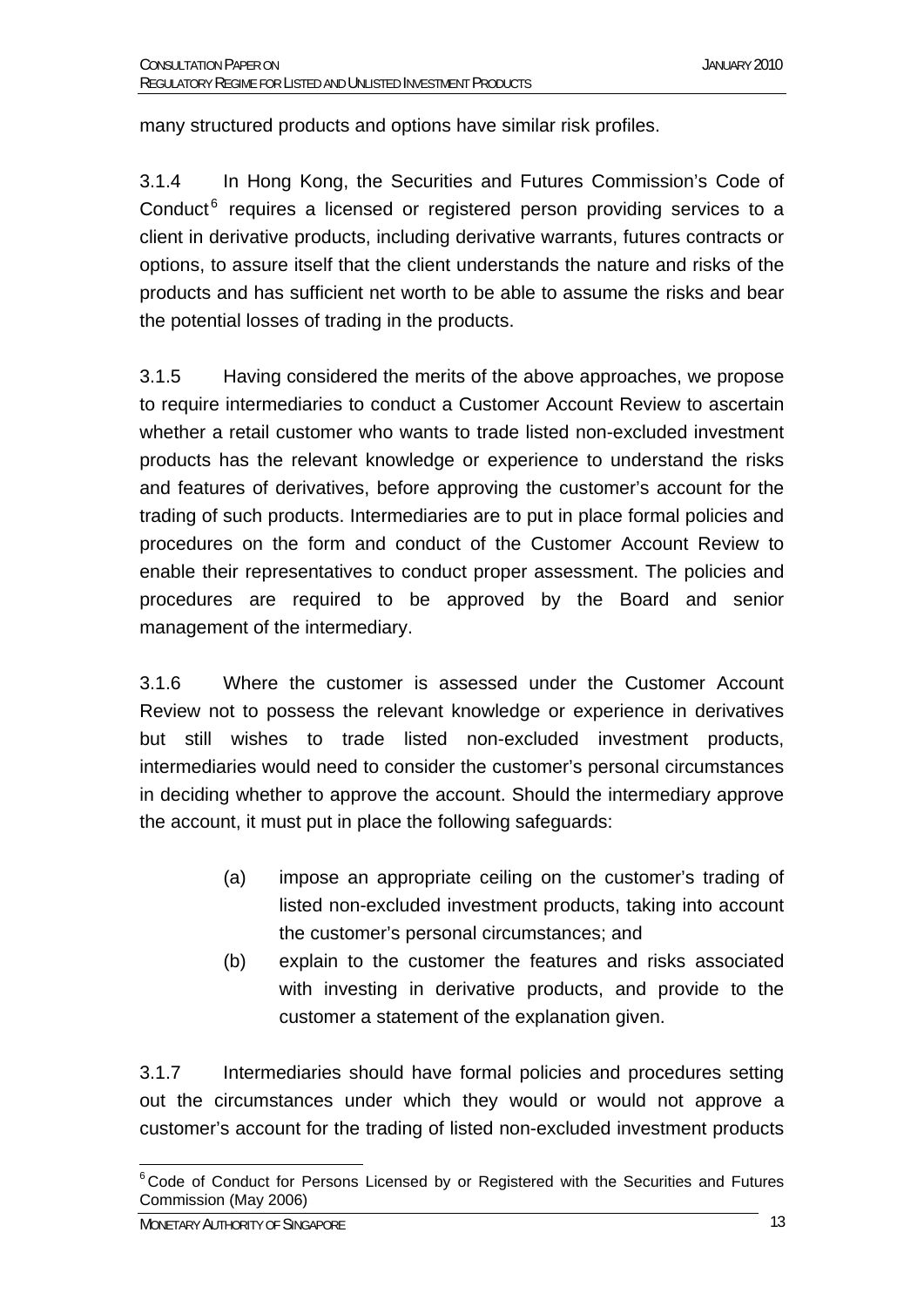many structured products and options have similar risk profiles.

3.1.4 In Hong Kong, the Securities and Futures Commission's Code of Conduct<sup>[6](#page-12-0)</sup> requires a licensed or registered person providing services to a client in derivative products, including derivative warrants, futures contracts or options, to assure itself that the client understands the nature and risks of the products and has sufficient net worth to be able to assume the risks and bear the potential losses of trading in the products.

3.1.5 Having considered the merits of the above approaches, we propose to require intermediaries to conduct a Customer Account Review to ascertain whether a retail customer who wants to trade listed non-excluded investment products has the relevant knowledge or experience to understand the risks and features of derivatives, before approving the customer's account for the trading of such products. Intermediaries are to put in place formal policies and procedures on the form and conduct of the Customer Account Review to enable their representatives to conduct proper assessment. The policies and procedures are required to be approved by the Board and senior management of the intermediary.

3.1.6 Where the customer is assessed under the Customer Account Review not to possess the relevant knowledge or experience in derivatives but still wishes to trade listed non-excluded investment products, intermediaries would need to consider the customer's personal circumstances in deciding whether to approve the account. Should the intermediary approve the account, it must put in place the following safeguards:

- (a) impose an appropriate ceiling on the customer's trading of listed non-excluded investment products, taking into account the customer's personal circumstances; and
- (b) explain to the customer the features and risks associated with investing in derivative products, and provide to the customer a statement of the explanation given.

3.1.7 Intermediaries should have formal policies and procedures setting out the circumstances under which they would or would not approve a customer's account for the trading of listed non-excluded investment products

<span id="page-12-0"></span><sup>1</sup>  $6$  Code of Conduct for Persons Licensed by or Registered with the Securities and Futures Commission (May 2006)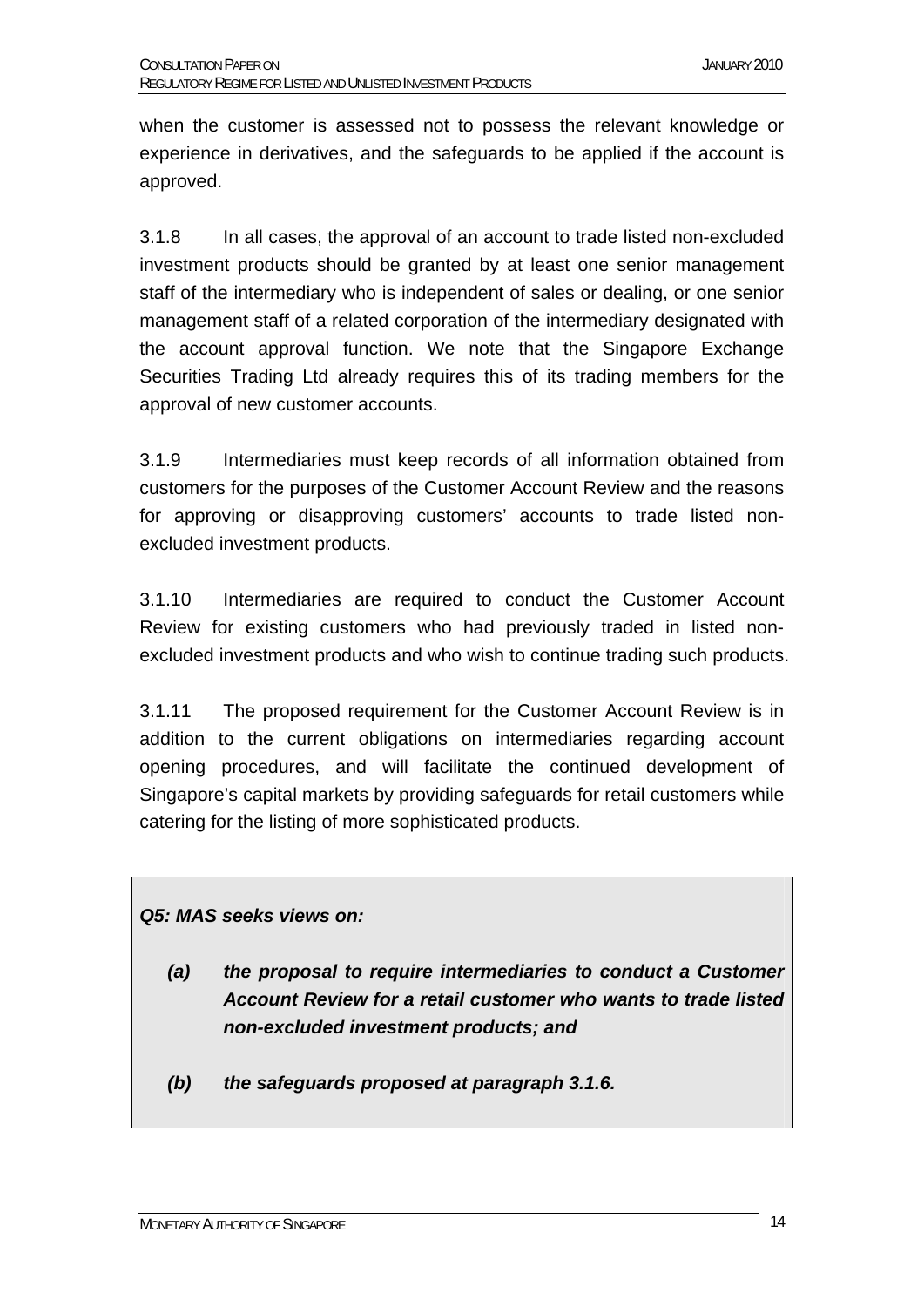when the customer is assessed not to possess the relevant knowledge or experience in derivatives, and the safeguards to be applied if the account is approved.

3.1.8 In all cases, the approval of an account to trade listed non-excluded investment products should be granted by at least one senior management staff of the intermediary who is independent of sales or dealing, or one senior management staff of a related corporation of the intermediary designated with the account approval function. We note that the Singapore Exchange Securities Trading Ltd already requires this of its trading members for the approval of new customer accounts.

3.1.9 Intermediaries must keep records of all information obtained from customers for the purposes of the Customer Account Review and the reasons for approving or disapproving customers' accounts to trade listed nonexcluded investment products.

3.1.10 Intermediaries are required to conduct the Customer Account Review for existing customers who had previously traded in listed nonexcluded investment products and who wish to continue trading such products.

3.1.11 The proposed requirement for the Customer Account Review is in addition to the current obligations on intermediaries regarding account opening procedures, and will facilitate the continued development of Singapore's capital markets by providing safeguards for retail customers while catering for the listing of more sophisticated products.

#### *Q5: MAS seeks views on:*

- *(a) the proposal to require intermediaries to conduct a Customer Account Review for a retail customer who wants to trade listed non-excluded investment products; and*
- *(b) the safeguards proposed at paragraph 3.1.6.*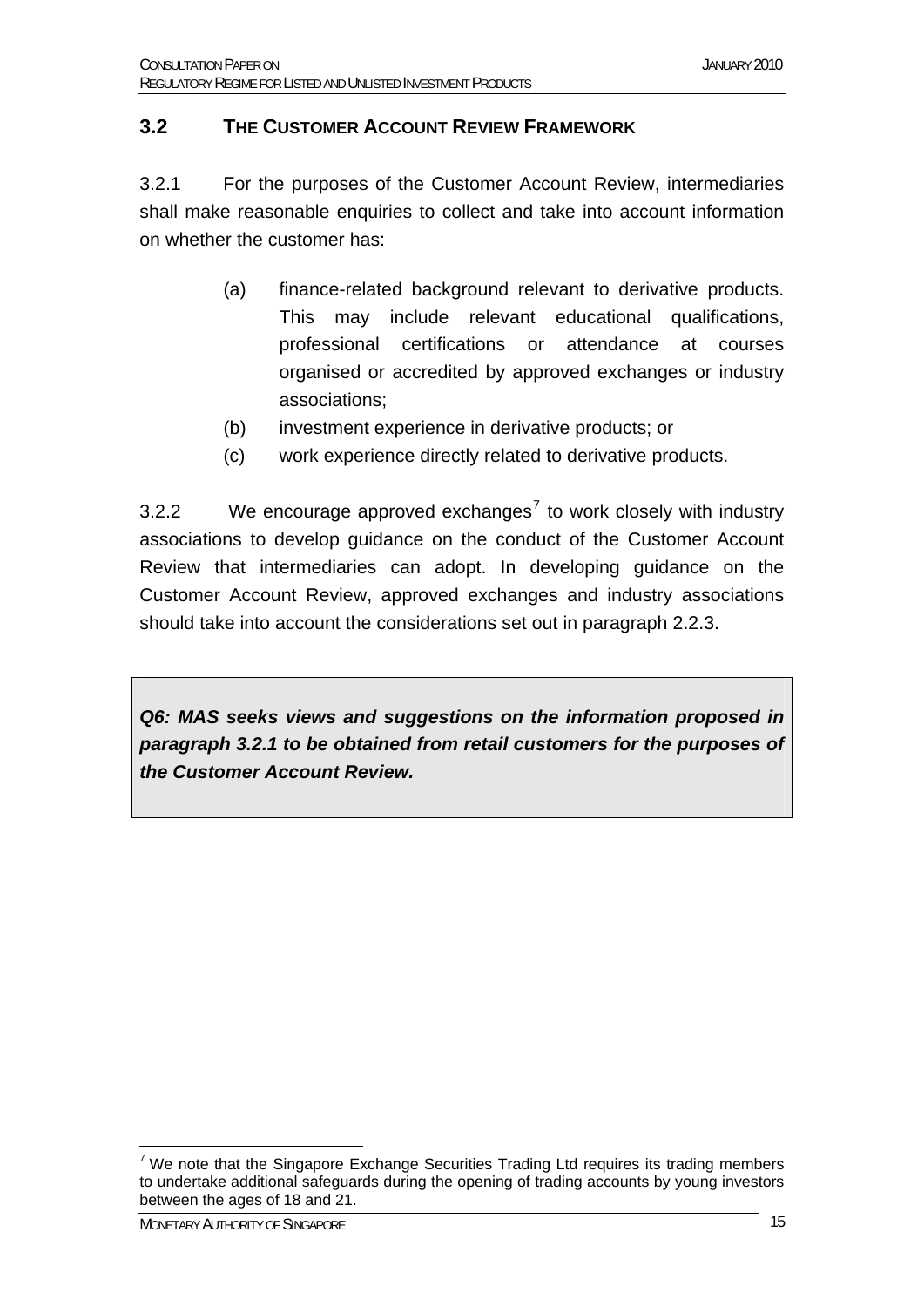#### **3.2 THE CUSTOMER ACCOUNT REVIEW FRAMEWORK**

3.2.1 For the purposes of the Customer Account Review, intermediaries shall make reasonable enquiries to collect and take into account information on whether the customer has:

- (a) finance-related background relevant to derivative products. This may include relevant educational qualifications, professional certifications or attendance at courses organised or accredited by approved exchanges or industry associations;
- (b) investment experience in derivative products; or
- (c) work experience directly related to derivative products.

3.2.2 We encourage approved exchanges<sup>[7](#page-14-0)</sup> to work closely with industry associations to develop guidance on the conduct of the Customer Account Review that intermediaries can adopt. In developing guidance on the Customer Account Review, approved exchanges and industry associations should take into account the considerations set out in paragraph 2.2.3.

*Q6: MAS seeks views and suggestions on the information proposed in paragraph 3.2.1 to be obtained from retail customers for the purposes of the Customer Account Review.* 

<span id="page-14-0"></span><sup>1</sup>  $7$  We note that the Singapore Exchange Securities Trading Ltd requires its trading members to undertake additional safeguards during the opening of trading accounts by young investors between the ages of 18 and 21.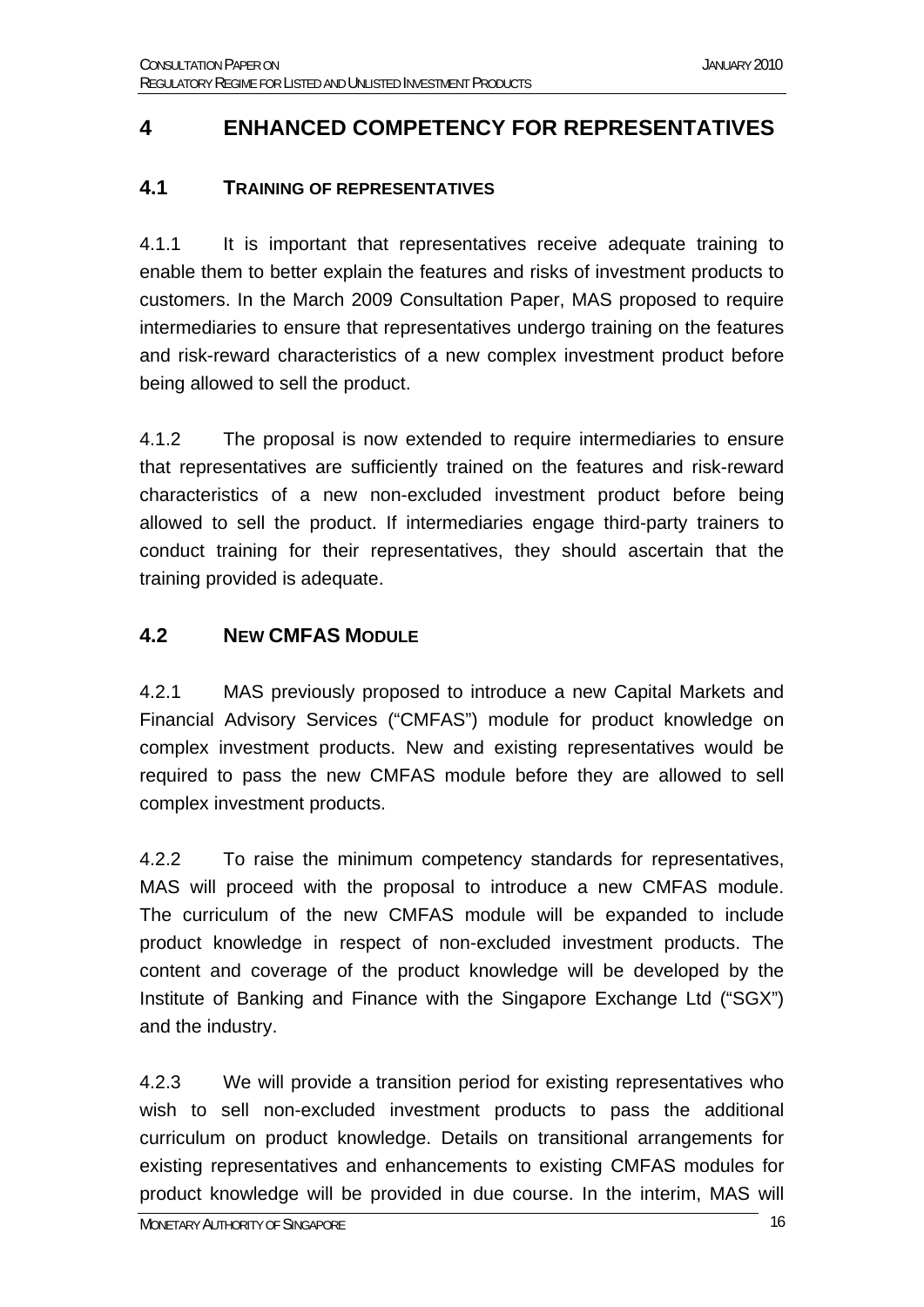#### **4 ENHANCED COMPETENCY FOR REPRESENTATIVES**

#### **4.1 TRAINING OF REPRESENTATIVES**

4.1.1 It is important that representatives receive adequate training to enable them to better explain the features and risks of investment products to customers. In the March 2009 Consultation Paper, MAS proposed to require intermediaries to ensure that representatives undergo training on the features and risk-reward characteristics of a new complex investment product before being allowed to sell the product.

4.1.2 The proposal is now extended to require intermediaries to ensure that representatives are sufficiently trained on the features and risk-reward characteristics of a new non-excluded investment product before being allowed to sell the product. If intermediaries engage third-party trainers to conduct training for their representatives, they should ascertain that the training provided is adequate.

#### **4.2 NEW CMFAS MODULE**

4.2.1 MAS previously proposed to introduce a new Capital Markets and Financial Advisory Services ("CMFAS") module for product knowledge on complex investment products. New and existing representatives would be required to pass the new CMFAS module before they are allowed to sell complex investment products.

4.2.2 To raise the minimum competency standards for representatives, MAS will proceed with the proposal to introduce a new CMFAS module. The curriculum of the new CMFAS module will be expanded to include product knowledge in respect of non-excluded investment products. The content and coverage of the product knowledge will be developed by the Institute of Banking and Finance with the Singapore Exchange Ltd ("SGX") and the industry.

4.2.3 We will provide a transition period for existing representatives who wish to sell non-excluded investment products to pass the additional curriculum on product knowledge. Details on transitional arrangements for existing representatives and enhancements to existing CMFAS modules for product knowledge will be provided in due course. In the interim, MAS will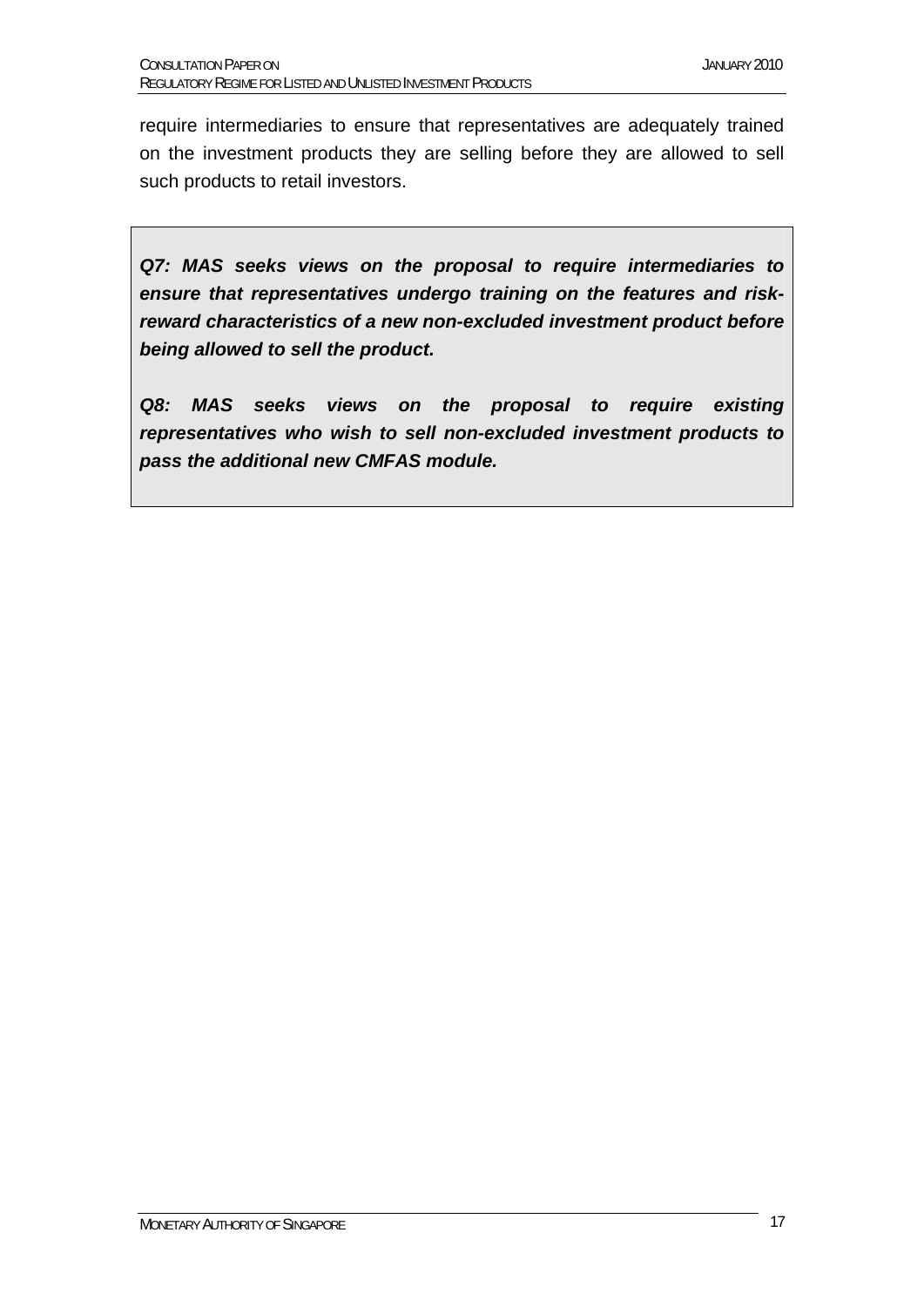require intermediaries to ensure that representatives are adequately trained on the investment products they are selling before they are allowed to sell such products to retail investors.

*Q7: MAS seeks views on the proposal to require intermediaries to ensure that representatives undergo training on the features and riskreward characteristics of a new non-excluded investment product before being allowed to sell the product.* 

*Q8: MAS seeks views on the proposal to require existing representatives who wish to sell non-excluded investment products to pass the additional new CMFAS module.*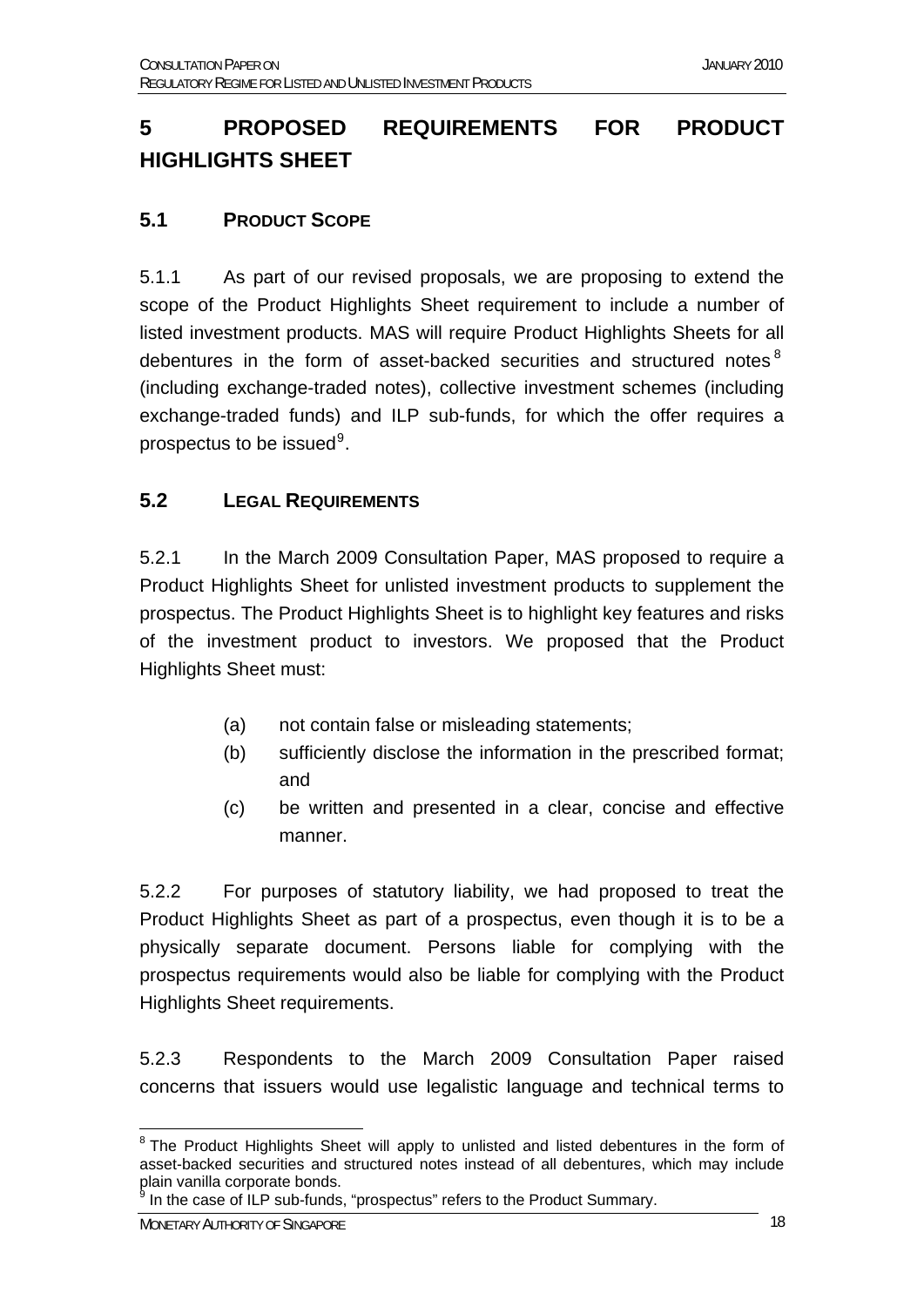## **5 PROPOSED REQUIREMENTS FOR PRODUCT HIGHLIGHTS SHEET**

#### **5.1 PRODUCT SCOPE**

5.1.1 As part of our revised proposals, we are proposing to extend the scope of the Product Highlights Sheet requirement to include a number of listed investment products. MAS will require Product Highlights Sheets for all debentures in the form of asset-backed securities and structured notes<sup>[8](#page-17-0)</sup> (including exchange-traded notes), collective investment schemes (including exchange-traded funds) and ILP sub-funds, for which the offer requires a prospectus to be issued $9$ .

#### **5.2 LEGAL REQUIREMENTS**

5.2.1 In the March 2009 Consultation Paper, MAS proposed to require a Product Highlights Sheet for unlisted investment products to supplement the prospectus. The Product Highlights Sheet is to highlight key features and risks of the investment product to investors. We proposed that the Product Highlights Sheet must:

- (a) not contain false or misleading statements;
- (b) sufficiently disclose the information in the prescribed format; and
- (c) be written and presented in a clear, concise and effective manner.

5.2.2 For purposes of statutory liability, we had proposed to treat the Product Highlights Sheet as part of a prospectus, even though it is to be a physically separate document. Persons liable for complying with the prospectus requirements would also be liable for complying with the Product Highlights Sheet requirements.

5.2.3 Respondents to the March 2009 Consultation Paper raised concerns that issuers would use legalistic language and technical terms to

**g** In the case of ILP sub-funds, "prospectus" refers to the Product Summary.

<span id="page-17-1"></span>MONETARY AUTHORITY OF SINGAPORE 18

<span id="page-17-0"></span><sup>1</sup> <sup>8</sup> The Product Highlights Sheet will apply to unlisted and listed debentures in the form of asset-backed securities and structured notes instead of all debentures, which may include plain vanilla corporate bonds.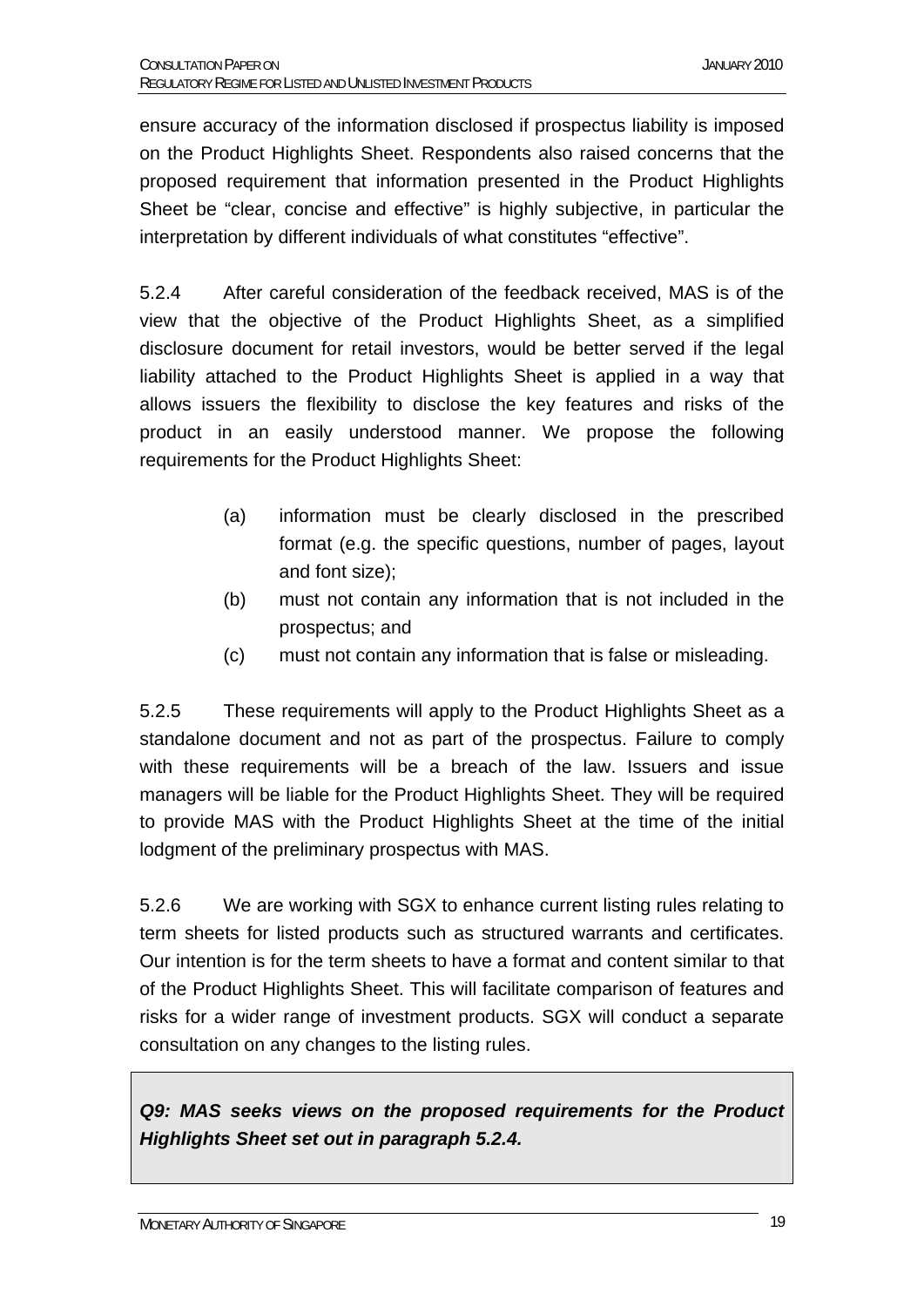ensure accuracy of the information disclosed if prospectus liability is imposed on the Product Highlights Sheet. Respondents also raised concerns that the proposed requirement that information presented in the Product Highlights Sheet be "clear, concise and effective" is highly subjective, in particular the interpretation by different individuals of what constitutes "effective".

5.2.4 After careful consideration of the feedback received, MAS is of the view that the objective of the Product Highlights Sheet, as a simplified disclosure document for retail investors, would be better served if the legal liability attached to the Product Highlights Sheet is applied in a way that allows issuers the flexibility to disclose the key features and risks of the product in an easily understood manner. We propose the following requirements for the Product Highlights Sheet:

- (a) information must be clearly disclosed in the prescribed format (e.g. the specific questions, number of pages, layout and font size);
- (b) must not contain any information that is not included in the prospectus; and
- (c) must not contain any information that is false or misleading.

5.2.5 These requirements will apply to the Product Highlights Sheet as a standalone document and not as part of the prospectus. Failure to comply with these requirements will be a breach of the law. Issuers and issue managers will be liable for the Product Highlights Sheet. They will be required to provide MAS with the Product Highlights Sheet at the time of the initial lodgment of the preliminary prospectus with MAS.

5.2.6 We are working with SGX to enhance current listing rules relating to term sheets for listed products such as structured warrants and certificates. Our intention is for the term sheets to have a format and content similar to that of the Product Highlights Sheet. This will facilitate comparison of features and risks for a wider range of investment products. SGX will conduct a separate consultation on any changes to the listing rules.

*Q9: MAS seeks views on the proposed requirements for the Product Highlights Sheet set out in paragraph 5.2.4.*